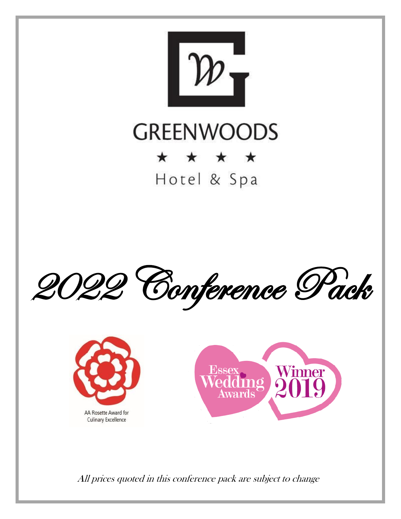

## **GREENWOODS** \* \* \* \*

Hotel & Spa







All prices quoted in this conference pack are subject to change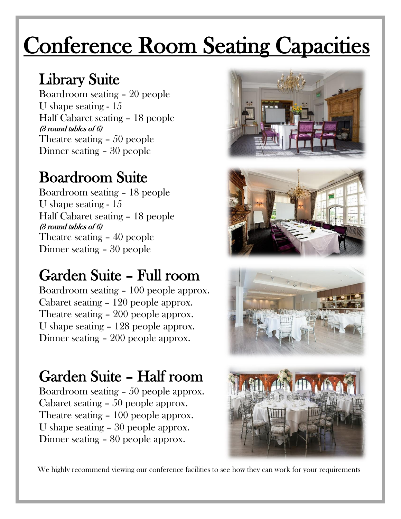# Conference Room Seating Capacities

## Library Suite

Boardroom seating – 20 people U shape seating - 15 Half Cabaret seating – 18 people (3 round tables of 6) Theatre seating – 50 people Dinner seating – 30 people

## Boardroom Suite

Boardroom seating – 18 people U shape seating - 15 Half Cabaret seating – 18 people (3 round tables of 6) Theatre seating – 40 people Dinner seating – 30 people

## Garden Suite – Full room

Boardroom seating – 100 people approx. Cabaret seating – 120 people approx. Theatre seating – 200 people approx. U shape seating – 128 people approx. Dinner seating – 200 people approx.

## Garden Suite – Half room

Boardroom seating – 50 people approx. Cabaret seating – 50 people approx. Theatre seating – 100 people approx. U shape seating – 30 people approx. Dinner seating – 80 people approx.









We highly recommend viewing our conference facilities to see how they can work for your requirements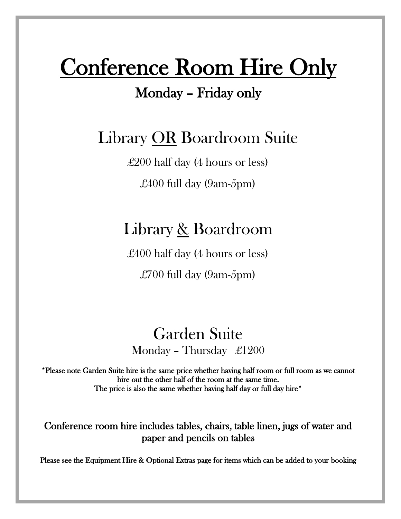## Conference Room Hire Only

### Monday – Friday only

### Library OR Boardroom Suite

£200 half day (4 hours or less) £400 full day (9am-5pm)

### Library & Boardroom

£400 half day (4 hours or less)

£700 full day (9am-5pm)

### Garden Suite Monday – Thursday £1200

\*Please note Garden Suite hire is the same price whether having half room or full room as we cannot hire out the other half of the room at the same time. The price is also the same whether having half day or full day hire<sup>\*</sup>

Conference room hire includes tables, chairs, table linen, jugs of water and paper and pencils on tables

Please see the Equipment Hire & Optional Extras page for items which can be added to your booking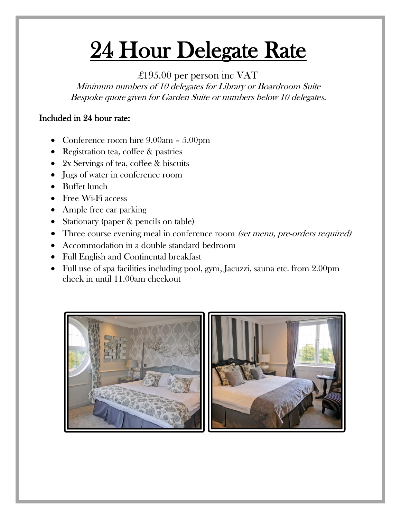# 24 Hour Delegate Rate

### £195.00 per person inc VAT

Minimum numbers of 10 delegates for Library or Boardroom Suite Bespoke quote given for Garden Suite or numbers below 10 delegates.

### Included in 24 hour rate:

- Conference room hire 9.00am 5.00pm
- Registration tea, coffee & pastries
- 2x Servings of tea, coffee & biscuits
- Jugs of water in conference room
- Buffet lunch
- Free Wi-Fi access
- Ample free car parking
- Stationary (paper & pencils on table)
- Three course evening meal in conference room (set menu, pre-orders required)
- Accommodation in a double standard bedroom
- Full English and Continental breakfast
- Full use of spa facilities including pool, gym, Jacuzzi, sauna etc. from 2.00pm check in until 11.00am checkout

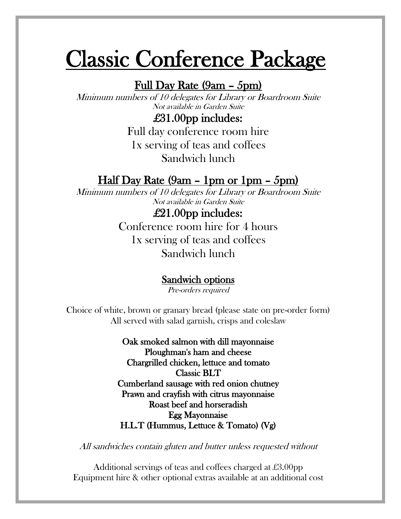## Classic Conference Package

### Full Day Rate (9am – 5pm)

Minimum numbers of 10 delegates for Library or Boardroom Suite Not available in Garden Suite

### £31.00pp includes:

Full day conference room hire 1x serving of teas and coffees Sandwich lunch

### Half Day Rate (9am – 1pm or 1pm – 5pm)

Minimum numbers of 10 delegates for Library or Boardroom Suite Not available in Garden Suite

> £21.00pp includes: Conference room hire for 4 hours 1x serving of teas and coffees Sandwich lunch

### Sandwich options

Pre-orders required

Choice of white, brown or granary bread (please state on pre-order form) All served with salad garnish, crisps and coleslaw

> Oak smoked salmon with dill mayonnaise Ploughman's ham and cheese Chargrilled chicken, lettuce and tomato Classic BLT Cumberland sausage with red onion chutney Prawn and crayfish with citrus mayonnaise Roast beef and horseradish Egg Mayonnaise H.L.T (Hummus, Lettuce & Tomato) (Vg)

All sandwiches contain gluten and butter unless requested without

Additional servings of teas and coffees charged at £3.00pp Equipment hire & other optional extras available at an additional cost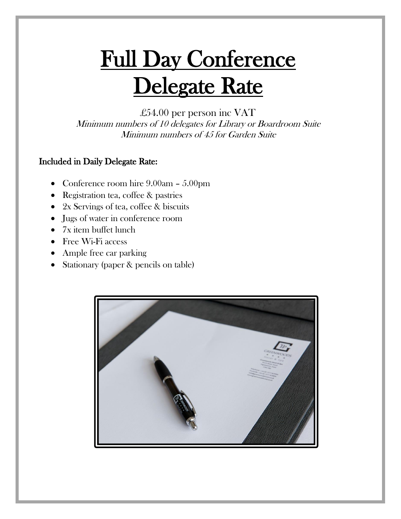# Full Day Conference Delegate Rate

£54.00 per person inc VAT

Minimum numbers of 10 delegates for Library or Boardroom Suite Minimum numbers of 45 for Garden Suite

### Included in Daily Delegate Rate:

- Conference room hire 9.00am 5.00pm
- Registration tea, coffee & pastries
- 2x Servings of tea, coffee & biscuits
- Jugs of water in conference room
- 7x item buffet lunch
- Free Wi-Fi access
- Ample free car parking
- Stationary (paper & pencils on table)

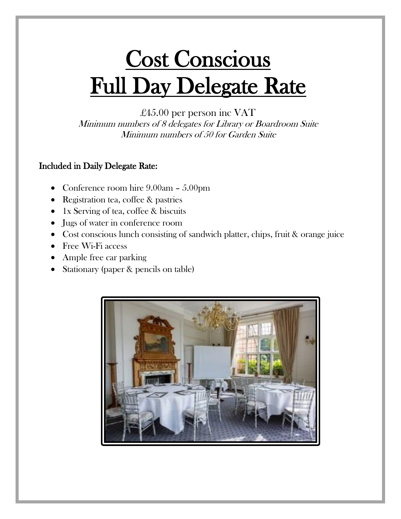# Cost Conscious Full Day Delegate Rate

### £45.00 per person inc VAT

Minimum numbers of 8 delegates for Library or Boardroom Suite Minimum numbers of 50 for Garden Suite

### Included in Daily Delegate Rate:

- Conference room hire 9.00am 5.00pm
- Registration tea, coffee & pastries
- 1x Serving of tea, coffee & biscuits
- Jugs of water in conference room
- Cost conscious lunch consisting of sandwich platter, chips, fruit & orange juice
- Free Wi-Fi access
- Ample free car parking
- Stationary (paper & pencils on table)

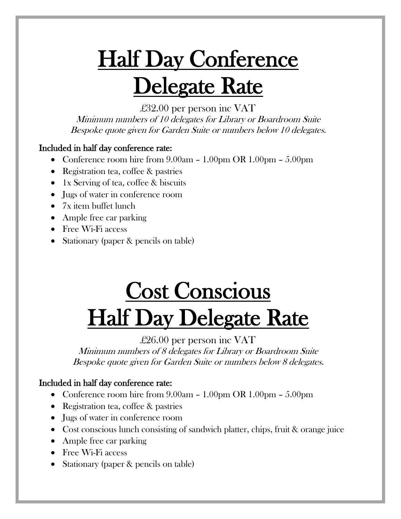# **Half Day Conference** Delegate Rate

£32.00 per person inc VAT

Minimum numbers of 10 delegates for Library or Boardroom Suite Bespoke quote given for Garden Suite or numbers below 10 delegates.

### Included in half day conference rate:

- Conference room hire from  $9.00am 1.00pm \ OR \ 1.00pm 5.00pm$
- Registration tea, coffee & pastries
- 1x Serving of tea, coffee & biscuits
- Jugs of water in conference room
- 7x item buffet lunch
- Ample free car parking
- Free Wi-Fi access
- Stationary (paper & pencils on table)

# Cost Conscious **Half Day Delegate Rate**

### £26.00 per person inc VAT

Minimum numbers of 8 delegates for Library or Boardroom Suite Bespoke quote given for Garden Suite or numbers below 8 delegates.

### Included in half day conference rate:

- Conference room hire from  $9.00am 1.00pm \ OR \ 1.00pm 5.00pm$
- Registration tea, coffee & pastries
- Jugs of water in conference room
- Cost conscious lunch consisting of sandwich platter, chips, fruit & orange juice
- Ample free car parking
- Free Wi-Fi access
- Stationary (paper & pencils on table)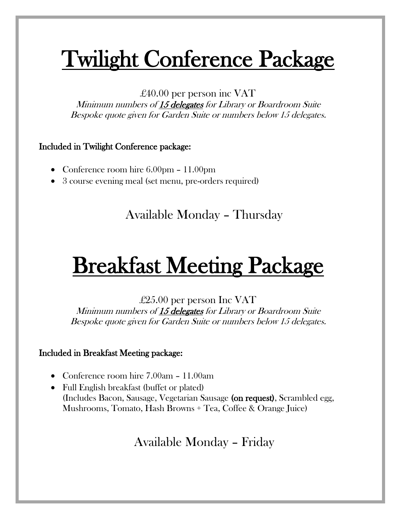# Twilight Conference Package

£40.00 per person inc VAT

Minimum numbers of 15 delegates for Library or Boardroom Suite Bespoke quote given for Garden Suite or numbers below 15 delegates.

### Included in Twilight Conference package:

- Conference room hire 6.00pm 11.00pm
- 3 course evening meal (set menu, pre-orders required)

### Available Monday – Thursday

# Breakfast Meeting Package

£25.00 per person Inc VAT Minimum numbers of 15 delegates for Library or Boardroom Suite Bespoke quote given for Garden Suite or numbers below 15 delegates.

### Included in Breakfast Meeting package:

- Conference room hire 7.00am 11.00am
- Full English breakfast (buffet or plated) (Includes Bacon, Sausage, Vegetarian Sausage (on request), Scrambled egg, Mushrooms, Tomato, Hash Browns + Tea, Coffee & Orange Juice)

Available Monday – Friday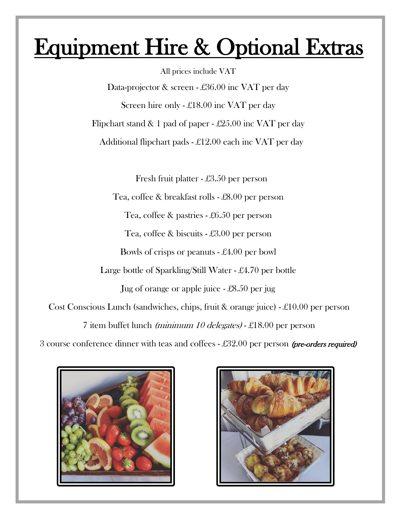## Equipment Hire & Optional Extras

All prices include VAT Data-projector & screen - £36.00 inc VAT per day Screen hire only - £18.00 inc VAT per day Flipchart stand & 1 pad of paper - £25.00 inc VAT per day Additional flipchart pads - £12.00 each inc VAT per day Fresh fruit platter - £3.50 per person Tea, coffee & breakfast rolls - £8.00 per person Tea, coffee & pastries - £6.50 per person Tea, coffee & biscuits - £3.00 per person Bowls of crisps or peanuts - £4.00 per bowl Large bottle of Sparkling/Still Water - £4.70 per bottle Jug of orange or apple juice - £8.50 per jug Cost Conscious Lunch (sandwiches, chips, fruit & orange juice) - £10.00 per person 7 item buffet lunch (minimum 10 delegates) - £18.00 per person

3 course conference dinner with teas and coffees  $-\pounds 32.00$  per person (pre-orders required)



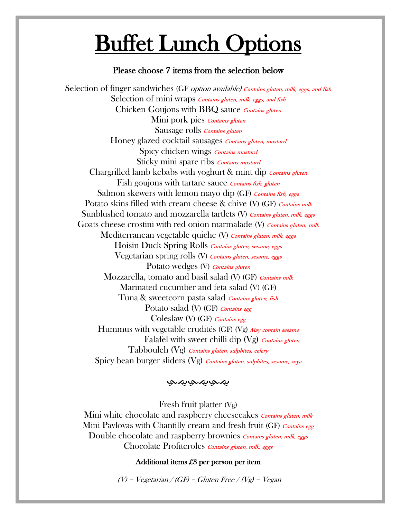## Buffet Lunch Options

j

#### Please choose 7 items from the selection below

Selection of finger sandwiches (GF *option available) Contains gluten, milk, eggs, and fish* Selection of mini wraps *Contains gluten, milk, eggs, and fish* Chicken Goujons with BBQ sauce *Contains gluten* Mini pork pies Contains gluten Sausage rolls Contains gluten Honey glazed cocktail sausages *Contains gluten, mustard* Spicy chicken wings *Contains mustard* Sticky mini spare ribs *Contains mustard* Chargrilled lamb kebabs with yoghurt  $\&$  mint dip *Contains gluten* Fish goujons with tartare sauce *Contains fish, gluten* Salmon skewers with lemon mayo dip (GF) Contains fish, eggs Potato skins filled with cream cheese & chive (V) (GF) *Contains milk* Sunblushed tomato and mozzarella tartlets (V) Contains gluten, milk, eggs Goats cheese crostini with red onion marmalade (V) Contains gluten, milk Mediterranean vegetable quiche (V) Contains gluten, milk, eggs Hoisin Duck Spring Rolls Contains gluten, sesame, eggs Vegetarian spring rolls (V) Contains gluten, sesame, eggs Potato wedges (V) Contains gluten Mozzarella, tomato and basil salad (V) (GF) Contains milk Marinated cucumber and feta salad (V) (GF) Tuna & sweetcorn pasta salad *Contains gluten, fish* Potato salad (V) (GF) Contains egg Coleslaw (V) (GF) Contains egg Hummus with vegetable crudités (GF) (Vg) May contain sesame Falafel with sweet chilli dip  $(Vg)$  Contains gluten Tabbouleh (Vg) Contains gluten, sulphites, celery Spicy bean burger sliders (Vg) *Contains gluten, sulphites, sesame, soya* 

#### بصوبصوبصو

Fresh fruit platter (Vg)

Mini white chocolate and raspberry cheesecakes Contains gluten, milk Mini Pavlovas with Chantilly cream and fresh fruit (GF) Contains egg Double chocolate and raspberry brownies *Contains gluten, milk, eggs* Chocolate Profiteroles *Contains gluten, milk, eggs* 

#### Additional items £3 per person per item

 $(V)$  = Vegetarian / (GF) = Gluten Free / (Vg) = Vegan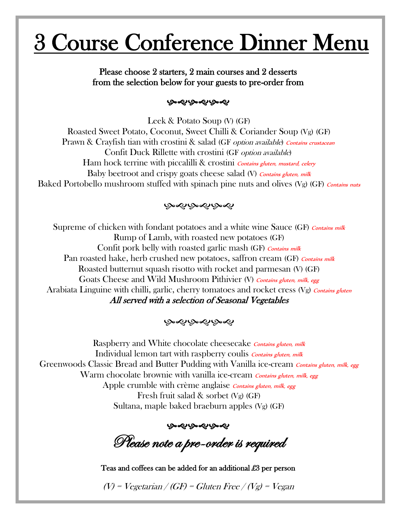## 3 Course Conference Dinner Menu

### Please choose 2 starters, 2 main courses and 2 desserts from the selection below for your guests to pre-order from

#### ෯෯෯෯෯

Leek & Potato Soup (V) (GF) Roasted Sweet Potato, Coconut, Sweet Chilli & Coriander Soup (Vg) (GF) Prawn & Crayfish tian with crostini & salad (GF option available) Contains crustacean Confit Duck Rillette with crostini (GF *option available*) Ham hock terrine with piccalilli & crostini *Contains gluten, mustard, celery* Baby beetroot and crispy goats cheese salad (V) Contains gluten, milk Baked Portobello mushroom stuffed with spinach pine nuts and olives  $(Vg)$  (GF) Contains nuts

### بهموبهموبهموا

Supreme of chicken with fondant potatoes and a white wine Sauce (GF) Contains milk Rump of Lamb, with roasted new potatoes (GF) Confit pork belly with roasted garlic mash (GF) Contains milk Pan roasted hake, herb crushed new potatoes, saffron cream (GF) Contains milk Roasted butternut squash risotto with rocket and parmesan (V) (GF) Goats Cheese and Wild Mushroom Pithivier (V) Contains gluten, milk, egg Arabiata Linguine with chilli, garlic, cherry tomatoes and rocket cress  $(Vg)$  Contains gluten All served with a selection of Seasonal Vegetables

#### به دو به دو به دو

Raspberry and White chocolate cheesecake *Contains gluten, milk* Individual lemon tart with raspberry coulis *Contains gluten, milk* Greenwoods Classic Bread and Butter Pudding with Vanilla ice-cream *Contains gluten, milk, egg* Warm chocolate brownie with vanilla ice-cream *Contains gluten, milk, egg* Apple crumble with crème anglaise *Contains gluten, milk, egg* Fresh fruit salad & sorbet (Vg) (GF) Sultana, maple baked braeburn apples (Vg) (GF)

෯෯෯෯෯

Please note a pre-order is required

Teas and coffees can be added for an additional £3 per person

 $(V)$  = Vegetarian / (GF) = Gluten Free / (Vg) = Vegan